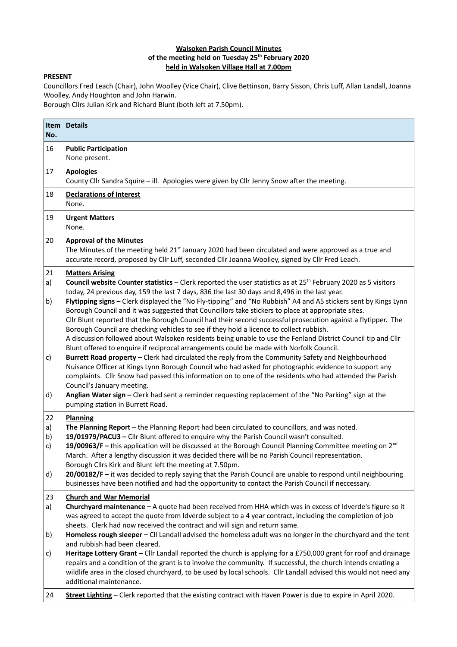## **Walsoken Parish Council Minutes of the meeting held on Tuesday 25th February 2020 held in Walsoken Village Hall at 7.00pm**

## **PRESENT**

Councillors Fred Leach (Chair), John Woolley (Vice Chair), Clive Bettinson, Barry Sisson, Chris Luff, Allan Landall, Joanna Woolley, Andy Houghton and John Harwin.

Borough Cllrs Julian Kirk and Richard Blunt (both left at 7.50pm).

| Item<br>No.                          | <b>Details</b>                                                                                                                                                                                                                                                                                                                                                                                                                                                                                                                                                                                                                                                                                                                                                                                                                                                                                       |  |  |  |  |  |
|--------------------------------------|------------------------------------------------------------------------------------------------------------------------------------------------------------------------------------------------------------------------------------------------------------------------------------------------------------------------------------------------------------------------------------------------------------------------------------------------------------------------------------------------------------------------------------------------------------------------------------------------------------------------------------------------------------------------------------------------------------------------------------------------------------------------------------------------------------------------------------------------------------------------------------------------------|--|--|--|--|--|
| 16                                   | <b>Public Participation</b><br>None present.                                                                                                                                                                                                                                                                                                                                                                                                                                                                                                                                                                                                                                                                                                                                                                                                                                                         |  |  |  |  |  |
| 17                                   | <b>Apologies</b><br>County Cllr Sandra Squire - ill. Apologies were given by Cllr Jenny Snow after the meeting.                                                                                                                                                                                                                                                                                                                                                                                                                                                                                                                                                                                                                                                                                                                                                                                      |  |  |  |  |  |
| 18                                   | <b>Declarations of Interest</b><br>None.                                                                                                                                                                                                                                                                                                                                                                                                                                                                                                                                                                                                                                                                                                                                                                                                                                                             |  |  |  |  |  |
| 19                                   | <b>Urgent Matters</b><br>None.                                                                                                                                                                                                                                                                                                                                                                                                                                                                                                                                                                                                                                                                                                                                                                                                                                                                       |  |  |  |  |  |
| 20                                   | <b>Approval of the Minutes</b><br>The Minutes of the meeting held 21 <sup>st</sup> January 2020 had been circulated and were approved as a true and<br>accurate record, proposed by Cllr Luff, seconded Cllr Joanna Woolley, signed by Cllr Fred Leach.                                                                                                                                                                                                                                                                                                                                                                                                                                                                                                                                                                                                                                              |  |  |  |  |  |
| 21<br>a)<br>b)                       | <b>Matters Arising</b><br>Council website Counter statistics - Clerk reported the user statistics as at 25 <sup>th</sup> February 2020 as 5 visitors<br>today, 24 previous day, 159 the last 7 days, 836 the last 30 days and 8,496 in the last year.<br>Flytipping signs - Clerk displayed the "No Fly-tipping" and "No Rubbish" A4 and A5 stickers sent by Kings Lynn<br>Borough Council and it was suggested that Councillors take stickers to place at appropriate sites.<br>Cllr Blunt reported that the Borough Council had their second successful prosecution against a flytipper. The<br>Borough Council are checking vehicles to see if they hold a licence to collect rubbish.<br>A discussion followed about Walsoken residents being unable to use the Fenland District Council tip and Cllr<br>Blunt offered to enquire if reciprocal arrangements could be made with Norfolk Council. |  |  |  |  |  |
| c)<br>d)                             | Burrett Road property - Clerk had circulated the reply from the Community Safety and Neighbourhood<br>Nuisance Officer at Kings Lynn Borough Council who had asked for photographic evidence to support any<br>complaints. Cllr Snow had passed this information on to one of the residents who had attended the Parish<br>Council's January meeting.<br>Anglian Water sign - Clerk had sent a reminder requesting replacement of the "No Parking" sign at the<br>pumping station in Burrett Road.                                                                                                                                                                                                                                                                                                                                                                                                   |  |  |  |  |  |
| 22<br>a)<br>b)<br>$\mathsf{c}$<br>d) | <b>Planning</b><br>The Planning Report - the Planning Report had been circulated to councillors, and was noted.<br>19/01979/PACU3 - Cllr Blunt offered to enquire why the Parish Council wasn't consulted.<br>19/00963/F – this application will be discussed at the Borough Council Planning Committee meeting on $2^{nd}$<br>March. After a lengthy discussion it was decided there will be no Parish Council representation.<br>Borough Cllrs Kirk and Blunt left the meeting at 7.50pm.<br>20/00182/F - it was decided to reply saying that the Parish Council are unable to respond until neighbouring<br>businesses have been notified and had the opportunity to contact the Parish Council if neccessary.                                                                                                                                                                                    |  |  |  |  |  |
| 23<br>a)<br>b)<br>c)                 | <b>Church and War Memorial</b><br>Churchyard maintenance - A quote had been received from HHA which was in excess of Idverde's figure so it<br>was agreed to accept the quote from Idverde subject to a 4 year contract, including the completion of job<br>sheets. Clerk had now received the contract and will sign and return same.<br>Homeless rough sleeper - CII Landall advised the homeless adult was no longer in the churchyard and the tent<br>and rubbish had been cleared.<br>Heritage Lottery Grant - Cllr Landall reported the church is applying for a £750,000 grant for roof and drainage<br>repairs and a condition of the grant is to involve the community. If successful, the church intends creating a<br>wildlife area in the closed churchyard, to be used by local schools. Cllr Landall advised this would not need any<br>additional maintenance.                        |  |  |  |  |  |
| 24                                   | Street Lighting - Clerk reported that the existing contract with Haven Power is due to expire in April 2020.                                                                                                                                                                                                                                                                                                                                                                                                                                                                                                                                                                                                                                                                                                                                                                                         |  |  |  |  |  |